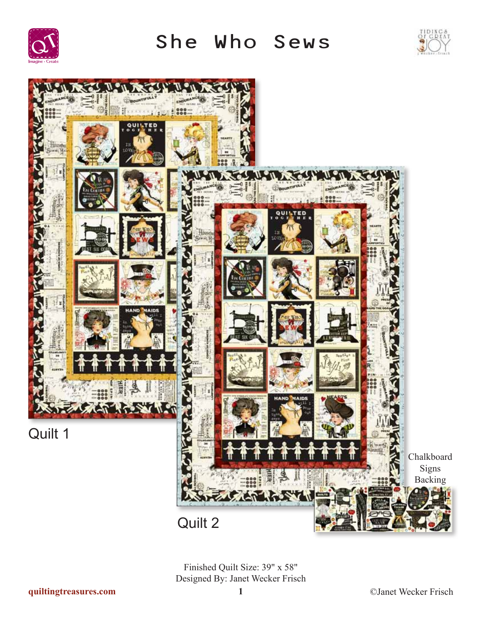

She Who Sews





Finished Quilt Size: 39" x 58" Designed By: Janet Wecker Frisch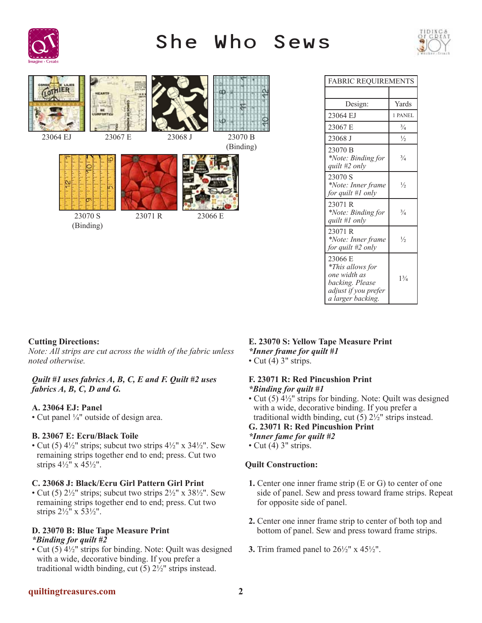

# She Who Sews





| FABRIC REOUIREMENTS                                                                                         |               |
|-------------------------------------------------------------------------------------------------------------|---------------|
|                                                                                                             |               |
| Design:                                                                                                     | Yards         |
| 23064 EJ                                                                                                    | 1 PANEL       |
| 23067 E                                                                                                     | $\frac{3}{4}$ |
| 23068 J                                                                                                     | $\frac{1}{2}$ |
| 23070 B<br>*Note: Binding for<br>quilt #2 only                                                              | $^{3}/_{4}$   |
| 23070 S<br>*Note: Inner frame<br>for quilt #1 only                                                          | $\frac{1}{2}$ |
| 23071 R<br>*Note: Binding for<br>quilt #1 only                                                              | $\frac{3}{4}$ |
| 23071 R<br>*Note: Inner frame<br>for quilt #2 only                                                          | $\frac{1}{2}$ |
| 23066 E<br>*This allows for<br>one width as<br>backing. Please<br>adjust if you prefer<br>a larger backing. | $1^{3}/_{4}$  |

# **Cutting Directions:**

*Note: All strips are cut across the width of the fabric unless noted otherwise.*

#### *Quilt #1 uses fabrics A, B, C, E and F. Quilt #2 uses fabrics A, B, C, D and G.*

## **A. 23064 EJ: Panel**

• Cut panel ¼" outside of design area.

## **B. 23067 E: Ecru/Black Toile**

• Cut (5)  $4\frac{1}{2}$ " strips; subcut two strips  $4\frac{1}{2}$ " x  $3\frac{1}{2}$ ". Sew remaining strips together end to end; press. Cut two strips 4½" x 45½".

## **C. 23068 J: Black/Ecru Girl Pattern Girl Print**

• Cut (5)  $2\frac{1}{2}$ " strips; subcut two strips  $2\frac{1}{2}$ " x  $38\frac{1}{2}$ ". Sew remaining strips together end to end; press. Cut two strips 2½" x 53½".

## **D. 23070 B: Blue Tape Measure Print**  *\*Binding for quilt #2*

• Cut (5) 4½" strips for binding. Note: Quilt was designed with a wide, decorative binding. If you prefer a traditional width binding, cut  $(5)$   $2\frac{1}{2}$ " strips instead.

# **E. 23070 S: Yellow Tape Measure Print** *\*Inner frame for quilt #1*

• Cut  $(4)$  3" strips.

## **F. 23071 R: Red Pincushion Print** *\*Binding for quilt #1*

• Cut (5) 4½" strips for binding. Note: Quilt was designed with a wide, decorative binding. If you prefer a traditional width binding, cut  $(5)$   $2\frac{1}{2}$ " strips instead.

## **G. 23071 R: Red Pincushion Print**

*\*Inner fame for quilt #2*

• Cut  $(4)$  3" strips.

# **Quilt Construction:**

- **1.** Center one inner frame strip (E or G) to center of one side of panel. Sew and press toward frame strips. Repeat for opposite side of panel.
- **2.** Center one inner frame strip to center of both top and bottom of panel. Sew and press toward frame strips.
- **3.** Trim framed panel to 26½" x 45½".